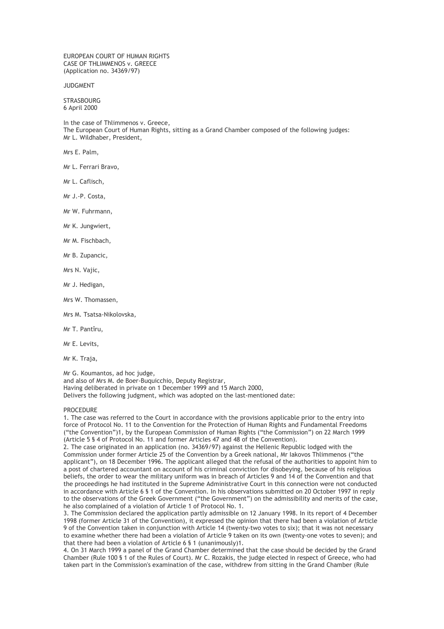EUROPEAN COURT OF HUMAN RIGHTS CASE OF THLIMMENOS v. GREECE (Application no. 34369/97)

JUDGMENT

**STRASBOURG** 6 April 2000

In the case of Thlimmenos v. Greece, The European Court of Human Rights, sitting as a Grand Chamber composed of the following judges: Mr L. Wildhaber, President,

Mrs E. Palm,

Mr L. Ferrari Bravo,

Mr L. Caflisch,

Mr J.-P. Costa,

Mr W. Fuhrmann,

Mr K. Jungwiert,

Mr M. Fischbach,

Mr B. Zupancic,

Mrs N. Vajic,

Mr J. Hedigan,

Mrs W. Thomassen,

Mrs M. Tsatsa-Nikolovska,

Mr T. Pantîru,

Mr E. Levits,

Mr K. Traja,

Mr G. Koumantos, ad hoc judge, and also of Mrs M. de Boer-Buquicchio, Deputy Registrar, Having deliberated in private on 1 December 1999 and 15 March 2000, Delivers the following judgment, which was adopted on the last-mentioned date:

**PROCEDURE** 

1. The case was referred to the Court in accordance with the provisions applicable prior to the entry into force of Protocol No. 11 to the Convention for the Protection of Human Rights and Fundamental Freedoms ("the Convention")1, by the European Commission of Human Rights ("the Commission") on 22 March 1999 (Article 5 § 4 of Protocol No. 11 and former Articles 47 and 48 of the Convention).

2. The case originated in an application (no. 34369/97) against the Hellenic Republic lodged with the Commission under former Article 25 of the Convention by a Greek national, Mr Iakovos Thlimmenos ("the applicant"), on 18 December 1996. The applicant alleged that the refusal of the authorities to appoint him to a post of chartered accountant on account of his criminal conviction for disobeying, because of his religious beliefs, the order to wear the military uniform was in breach of Articles 9 and 14 of the Convention and that the proceedings he had instituted in the Supreme Administrative Court in this connection were not conducted in accordance with Article 6 § 1 of the Convention. In his observations submitted on 20 October 1997 in reply to the observations of the Greek Government ("the Government") on the admissibility and merits of the case, he also complained of a violation of Article 1 of Protocol No. 1.

3. The Commission declared the application partly admissible on 12 January 1998. In its report of 4 December 1998 (former Article 31 of the Convention), it expressed the opinion that there had been a violation of Article 9 of the Convention taken in conjunction with Article 14 (twenty-two votes to six); that it was not necessary to examine whether there had been a violation of Article 9 taken on its own (twenty-one votes to seven); and that there had been a violation of Article 6 § 1 (unanimously)1.

4. On 31 March 1999 a panel of the Grand Chamber determined that the case should be decided by the Grand Chamber (Rule 100 § 1 of the Rules of Court). Mr C. Rozakis, the judge elected in respect of Greece, who had taken part in the Commission's examination of the case, withdrew from sitting in the Grand Chamber (Rule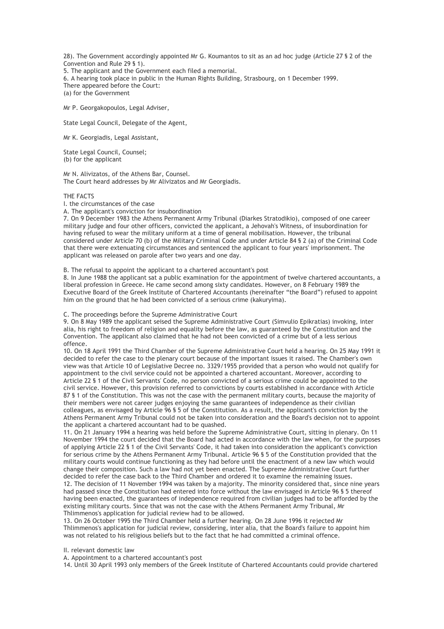28). The Government accordingly appointed Mr G. Koumantos to sit as an ad hoc judge (Article 27 § 2 of the Convention and Rule 29 § 1).

5. The applicant and the Government each filed a memorial.

6. A hearing took place in public in the Human Rights Building, Strasbourg, on 1 December 1999. There appeared before the Court:

(a) for the Government

Mr P. Georgakopoulos, Legal Adviser,

State Legal Council, Delegate of the Agent,

Mr K. Georgiadis, Legal Assistant,

State Legal Council, Counsel; (b) for the applicant

Mr N. Alivizatos, of the Athens Bar, Counsel. The Court heard addresses by Mr Alivizatos and Mr Georgiadis.

## THE FACTS

I. the circumstances of the case

A. The applicant's conviction for insubordination

7. On 9 December 1983 the Athens Permanent Army Tribunal (Diarkes Stratodikio), composed of one career military judge and four other officers, convicted the applicant, a Jehovah's Witness, of insubordination for having refused to wear the military uniform at a time of general mobilisation. However, the tribunal considered under Article 70 (b) of the Military Criminal Code and under Article 84 § 2 (a) of the Criminal Code that there were extenuating circumstances and sentenced the applicant to four years' imprisonment. The applicant was released on parole after two years and one day.

B. The refusal to appoint the applicant to a chartered accountant's post

8. In June 1988 the applicant sat a public examination for the appointment of twelve chartered accountants, a liberal profession in Greece. He came second among sixty candidates. However, on 8 February 1989 the Executive Board of the Greek Institute of Chartered Accountants (hereinafter "the Board") refused to appoint him on the ground that he had been convicted of a serious crime (kakuryima).

C. The proceedings before the Supreme Administrative Court

9. On 8 May 1989 the applicant seised the Supreme Administrative Court (Simvulio Epikratias) invoking, inter alia, his right to freedom of religion and equality before the law, as guaranteed by the Constitution and the Convention. The applicant also claimed that he had not been convicted of a crime but of a less serious offence.

10. On 18 April 1991 the Third Chamber of the Supreme Administrative Court held a hearing. On 25 May 1991 it decided to refer the case to the plenary court because of the important issues it raised. The Chamber's own view was that Article 10 of Legislative Decree no. 3329/1955 provided that a person who would not qualify for appointment to the civil service could not be appointed a chartered accountant. Moreover, according to Article 22 § 1 of the Civil Servants' Code, no person convicted of a serious crime could be appointed to the civil service. However, this provision referred to convictions by courts established in accordance with Article 87 § 1 of the Constitution. This was not the case with the permanent military courts, because the majority of their members were not career judges enjoying the same guarantees of independence as their civilian colleagues, as envisaged by Article 96 § 5 of the Constitution. As a result, the applicant's conviction by the Athens Permanent Army Tribunal could not be taken into consideration and the Board's decision not to appoint the applicant a chartered accountant had to be quashed.

11. On 21 January 1994 a hearing was held before the Supreme Administrative Court, sitting in plenary. On 11 November 1994 the court decided that the Board had acted in accordance with the law when, for the purposes of applying Article 22 § 1 of the Civil Servants' Code, it had taken into consideration the applicant's conviction for serious crime by the Athens Permanent Army Tribunal. Article 96 § 5 of the Constitution provided that the military courts would continue functioning as they had before until the enactment of a new law which would change their composition. Such a law had not yet been enacted. The Supreme Administrative Court further decided to refer the case back to the Third Chamber and ordered it to examine the remaining issues. 12. The decision of 11 November 1994 was taken by a majority. The minority considered that, since nine years had passed since the Constitution had entered into force without the law envisaged in Article 96 § 5 thereof having been enacted, the guarantees of independence required from civilian judges had to be afforded by the existing military courts. Since that was not the case with the Athens Permanent Army Tribunal, Mr Thlimmenos's application for judicial review had to be allowed.

13. On 26 October 1995 the Third Chamber held a further hearing. On 28 June 1996 it rejected Mr Thlimmenos's application for judicial review, considering, inter alia, that the Board's failure to appoint him was not related to his religious beliefs but to the fact that he had committed a criminal offence.

II. relevant domestic law

A. Appointment to a chartered accountant's post

14. Until 30 April 1993 only members of the Greek Institute of Chartered Accountants could provide chartered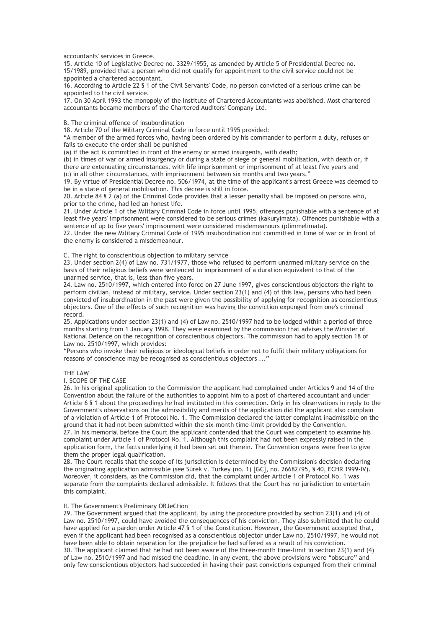accountants' services in Greece.

15. Article 10 of Legislative Decree no. 3329/1955, as amended by Article 5 of Presidential Decree no. 15/1989, provided that a person who did not qualify for appointment to the civil service could not be appointed a chartered accountant.

16. According to Article 22 § 1 of the Civil Servants' Code, no person convicted of a serious crime can be appointed to the civil service.

17. On 30 April 1993 the monopoly of the Institute of Chartered Accountants was abolished. Most chartered accountants became members of the Chartered Auditors' Company Ltd.

## B. The criminal offence of insubordination

18. Article 70 of the Military Criminal Code in force until 1995 provided:

"A member of the armed forces who, having been ordered by his commander to perform a duty, refuses or fails to execute the order shall be punished –

(a) if the act is committed in front of the enemy or armed insurgents, with death;

(b) in times of war or armed insurgency or during a state of siege or general mobilisation, with death or, if there are extenuating circumstances, with life imprisonment or imprisonment of at least five years and (c) in all other circumstances, with imprisonment between six months and two years."

19. By virtue of Presidential Decree no. 506/1974, at the time of the applicant's arrest Greece was deemed to be in a state of general mobilisation. This decree is still in force.

20. Article 84 § 2 (a) of the Criminal Code provides that a lesser penalty shall be imposed on persons who, prior to the crime, had led an honest life.

21. Under Article 1 of the Military Criminal Code in force until 1995, offences punishable with a sentence of at least five years' imprisonment were considered to be serious crimes (kakuryimata). Offences punishable with a sentence of up to five years' imprisonment were considered misdemeanours (plimmelimata).

22. Under the new Military Criminal Code of 1995 insubordination not committed in time of war or in front of the enemy is considered a misdemeanour.

## C. The right to conscientious objection to military service

23. Under section 2(4) of Law no. 731/1977, those who refused to perform unarmed military service on the basis of their religious beliefs were sentenced to imprisonment of a duration equivalent to that of the unarmed service, that is, less than five years.

24. Law no. 2510/1997, which entered into force on 27 June 1997, gives conscientious objectors the right to perform civilian, instead of military, service. Under section 23(1) and (4) of this law, persons who had been convicted of insubordination in the past were given the possibility of applying for recognition as conscientious objectors. One of the effects of such recognition was having the conviction expunged from one's criminal record.

25. Applications under section 23(1) and (4) of Law no. 2510/1997 had to be lodged within a period of three months starting from 1 January 1998. They were examined by the commission that advises the Minister of National Defence on the recognition of conscientious objectors. The commission had to apply section 18 of Law no. 2510/1997, which provides:

"Persons who invoke their religious or ideological beliefs in order not to fulfil their military obligations for reasons of conscience may be recognised as conscientious objectors ...'

## THE LAW

## I. SCOPE OF THE CASE

26. In his original application to the Commission the applicant had complained under Articles 9 and 14 of the Convention about the failure of the authorities to appoint him to a post of chartered accountant and under Article 6 § 1 about the proceedings he had instituted in this connection. Only in his observations in reply to the Government's observations on the admissibility and merits of the application did the applicant also complain of a violation of Article 1 of Protocol No. 1. The Commission declared the latter complaint inadmissible on the ground that it had not been submitted within the six-month time-limit provided by the Convention. 27. In his memorial before the Court the applicant contended that the Court was competent to examine his complaint under Article 1 of Protocol No. 1. Although this complaint had not been expressly raised in the application form, the facts underlying it had been set out therein. The Convention organs were free to give them the proper legal qualification.

28. The Court recalls that the scope of its jurisdiction is determined by the Commission's decision declaring the originating application admissible (see Sürek v. Turkey (no. 1) [GC], no. 26682/95, § 40, ECHR 1999-IV). Moreover, it considers, as the Commission did, that the complaint under Article 1 of Protocol No. 1 was separate from the complaints declared admissible. It follows that the Court has no jurisdiction to entertain this complaint.

## II. The Government's Preliminary OBJeCtion

29. The Government argued that the applicant, by using the procedure provided by section 23(1) and (4) of Law no. 2510/1997, could have avoided the consequences of his conviction. They also submitted that he could have applied for a pardon under Article 47 § 1 of the Constitution. However, the Government accepted that, even if the applicant had been recognised as a conscientious objector under Law no. 2510/1997, he would not have been able to obtain reparation for the prejudice he had suffered as a result of his conviction. 30. The applicant claimed that he had not been aware of the three-month time-limit in section 23(1) and (4) of Law no. 2510/1997 and had missed the deadline. In any event, the above provisions were "obscure" and only few conscientious objectors had succeeded in having their past convictions expunged from their criminal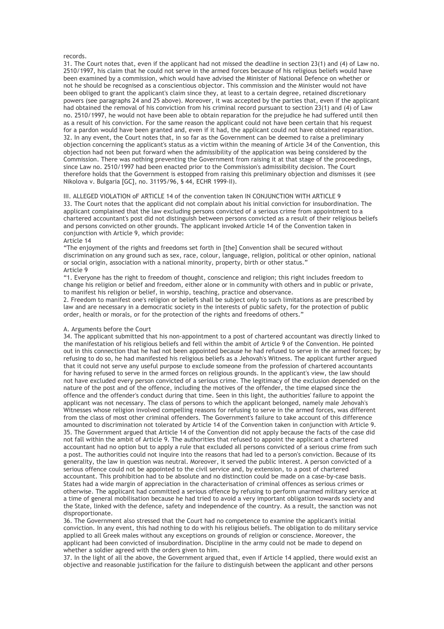### records.

31. The Court notes that, even if the applicant had not missed the deadline in section 23(1) and (4) of Law no. 2510/1997, his claim that he could not serve in the armed forces because of his religious beliefs would have been examined by a commission, which would have advised the Minister of National Defence on whether or not he should be recognised as a conscientious objector. This commission and the Minister would not have been obliged to grant the applicant's claim since they, at least to a certain degree, retained discretionary powers (see paragraphs 24 and 25 above). Moreover, it was accepted by the parties that, even if the applicant had obtained the removal of his conviction from his criminal record pursuant to section 23(1) and (4) of Law no. 2510/1997, he would not have been able to obtain reparation for the prejudice he had suffered until then as a result of his conviction. For the same reason the applicant could not have been certain that his request for a pardon would have been granted and, even if it had, the applicant could not have obtained reparation. 32. In any event, the Court notes that, in so far as the Government can be deemed to raise a preliminary objection concerning the applicant's status as a victim within the meaning of Article 34 of the Convention, this objection had not been put forward when the admissibility of the application was being considered by the Commission. There was nothing preventing the Government from raising it at that stage of the proceedings, since Law no. 2510/1997 had been enacted prior to the Commission's admissibility decision. The Court therefore holds that the Government is estopped from raising this preliminary objection and dismisses it (see Nikolova v. Bulgaria [GC], no. 31195/96, § 44, ECHR 1999-II).

### III. ALLEGED VIOLATION oF ARTICLE 14 of the convention taken IN CONJUNCTION WITH ARTICLE 9 33. The Court notes that the applicant did not complain about his initial conviction for insubordination. The applicant complained that the law excluding persons convicted of a serious crime from appointment to a chartered accountant's post did not distinguish between persons convicted as a result of their religious beliefs and persons convicted on other grounds. The applicant invoked Article 14 of the Convention taken in conjunction with Article 9, which provide:

# Article 14

"The enjoyment of the rights and freedoms set forth in [the] Convention shall be secured without discrimination on any ground such as sex, race, colour, language, religion, political or other opinion, national or social origin, association with a national minority, property, birth or other status." Article 9

"1. Everyone has the right to freedom of thought, conscience and religion; this right includes freedom to change his religion or belief and freedom, either alone or in community with others and in public or private, to manifest his religion or belief, in worship, teaching, practice and observance.

2. Freedom to manifest one's religion or beliefs shall be subject only to such limitations as are prescribed by law and are necessary in a democratic society in the interests of public safety, for the protection of public order, health or morals, or for the protection of the rights and freedoms of others."

#### A. Arguments before the Court

34. The applicant submitted that his non-appointment to a post of chartered accountant was directly linked to the manifestation of his religious beliefs and fell within the ambit of Article 9 of the Convention. He pointed out in this connection that he had not been appointed because he had refused to serve in the armed forces; by refusing to do so, he had manifested his religious beliefs as a Jehovah's Witness. The applicant further argued that it could not serve any useful purpose to exclude someone from the profession of chartered accountants for having refused to serve in the armed forces on religious grounds. In the applicant's view, the law should not have excluded every person convicted of a serious crime. The legitimacy of the exclusion depended on the nature of the post and of the offence, including the motives of the offender, the time elapsed since the offence and the offender's conduct during that time. Seen in this light, the authorities' failure to appoint the applicant was not necessary. The class of persons to which the applicant belonged, namely male Jehovah's Witnesses whose religion involved compelling reasons for refusing to serve in the armed forces, was different from the class of most other criminal offenders. The Government's failure to take account of this difference amounted to discrimination not tolerated by Article 14 of the Convention taken in conjunction with Article 9. 35. The Government argued that Article 14 of the Convention did not apply because the facts of the case did not fall within the ambit of Article 9. The authorities that refused to appoint the applicant a chartered accountant had no option but to apply a rule that excluded all persons convicted of a serious crime from such a post. The authorities could not inquire into the reasons that had led to a person's conviction. Because of its generality, the law in question was neutral. Moreover, it served the public interest. A person convicted of a serious offence could not be appointed to the civil service and, by extension, to a post of chartered accountant. This prohibition had to be absolute and no distinction could be made on a case-by-case basis. States had a wide margin of appreciation in the characterisation of criminal offences as serious crimes or otherwise. The applicant had committed a serious offence by refusing to perform unarmed military service at a time of general mobilisation because he had tried to avoid a very important obligation towards society and the State, linked with the defence, safety and independence of the country. As a result, the sanction was not disproportionate.

36. The Government also stressed that the Court had no competence to examine the applicant's initial conviction. In any event, this had nothing to do with his religious beliefs. The obligation to do military service applied to all Greek males without any exceptions on grounds of religion or conscience. Moreover, the applicant had been convicted of insubordination. Discipline in the army could not be made to depend on whether a soldier agreed with the orders given to him.

37. In the light of all the above, the Government argued that, even if Article 14 applied, there would exist an objective and reasonable justification for the failure to distinguish between the applicant and other persons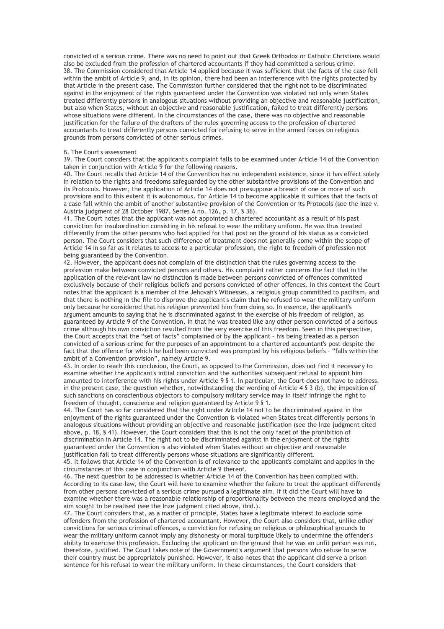convicted of a serious crime. There was no need to point out that Greek Orthodox or Catholic Christians would also be excluded from the profession of chartered accountants if they had committed a serious crime. 38. The Commission considered that Article 14 applied because it was sufficient that the facts of the case fell within the ambit of Article 9, and, in its opinion, there had been an interference with the rights protected by that Article in the present case. The Commission further considered that the right not to be discriminated against in the enjoyment of the rights guaranteed under the Convention was violated not only when States treated differently persons in analogous situations without providing an objective and reasonable justification, but also when States, without an objective and reasonable justification, failed to treat differently persons whose situations were different. In the circumstances of the case, there was no objective and reasonable justification for the failure of the drafters of the rules governing access to the profession of chartered accountants to treat differently persons convicted for refusing to serve in the armed forces on religious grounds from persons convicted of other serious crimes.

### B. The Court's assessment

39. The Court considers that the applicant's complaint falls to be examined under Article 14 of the Convention taken in conjunction with Article 9 for the following reasons.

40. The Court recalls that Article 14 of the Convention has no independent existence, since it has effect solely in relation to the rights and freedoms safeguarded by the other substantive provisions of the Convention and its Protocols. However, the application of Article 14 does not presuppose a breach of one or more of such provisions and to this extent it is autonomous. For Article 14 to become applicable it suffices that the facts of a case fall within the ambit of another substantive provision of the Convention or its Protocols (see the Inze v. Austria judgment of 28 October 1987, Series A no. 126, p. 17, § 36).

41. The Court notes that the applicant was not appointed a chartered accountant as a result of his past conviction for insubordination consisting in his refusal to wear the military uniform. He was thus treated differently from the other persons who had applied for that post on the ground of his status as a convicted person. The Court considers that such difference of treatment does not generally come within the scope of Article 14 in so far as it relates to access to a particular profession, the right to freedom of profession not being guaranteed by the Convention.

42. However, the applicant does not complain of the distinction that the rules governing access to the profession make between convicted persons and others. His complaint rather concerns the fact that in the application of the relevant law no distinction is made between persons convicted of offences committed exclusively because of their religious beliefs and persons convicted of other offences. In this context the Court notes that the applicant is a member of the Jehovah's Witnesses, a religious group committed to pacifism, and that there is nothing in the file to disprove the applicant's claim that he refused to wear the military uniform only because he considered that his religion prevented him from doing so. In essence, the applicant's argument amounts to saying that he is discriminated against in the exercise of his freedom of religion, as guaranteed by Article 9 of the Convention, in that he was treated like any other person convicted of a serious crime although his own conviction resulted from the very exercise of this freedom. Seen in this perspective, the Court accepts that the "set of facts" complained of by the applicant – his being treated as a person convicted of a serious crime for the purposes of an appointment to a chartered accountant's post despite the fact that the offence for which he had been convicted was prompted by his religious beliefs – "falls within the ambit of a Convention provision", namely Article 9.

43. In order to reach this conclusion, the Court, as opposed to the Commission, does not find it necessary to examine whether the applicant's initial conviction and the authorities' subsequent refusal to appoint him amounted to interference with his rights under Article 9 § 1. In particular, the Court does not have to address, in the present case, the question whether, notwithstanding the wording of Article 4 § 3 (b), the imposition of such sanctions on conscientious objectors to compulsory military service may in itself infringe the right to freedom of thought, conscience and religion guaranteed by Article 9 § 1.

44. The Court has so far considered that the right under Article 14 not to be discriminated against in the enjoyment of the rights guaranteed under the Convention is violated when States treat differently persons in analogous situations without providing an objective and reasonable justification (see the Inze judgment cited above, p. 18, § 41). However, the Court considers that this is not the only facet of the prohibition of discrimination in Article 14. The right not to be discriminated against in the enjoyment of the rights guaranteed under the Convention is also violated when States without an objective and reasonable justification fail to treat differently persons whose situations are significantly different.

45. It follows that Article 14 of the Convention is of relevance to the applicant's complaint and applies in the circumstances of this case in conjunction with Article 9 thereof.

46. The next question to be addressed is whether Article 14 of the Convention has been complied with. According to its case-law, the Court will have to examine whether the failure to treat the applicant differently from other persons convicted of a serious crime pursued a legitimate aim. If it did the Court will have to examine whether there was a reasonable relationship of proportionality between the means employed and the aim sought to be realised (see the Inze judgment cited above, ibid.).

47. The Court considers that, as a matter of principle, States have a legitimate interest to exclude some offenders from the profession of chartered accountant. However, the Court also considers that, unlike other convictions for serious criminal offences, a conviction for refusing on religious or philosophical grounds to wear the military uniform cannot imply any dishonesty or moral turpitude likely to undermine the offender's ability to exercise this profession. Excluding the applicant on the ground that he was an unfit person was not, therefore, justified. The Court takes note of the Government's argument that persons who refuse to serve their country must be appropriately punished. However, it also notes that the applicant did serve a prison sentence for his refusal to wear the military uniform. In these circumstances, the Court considers that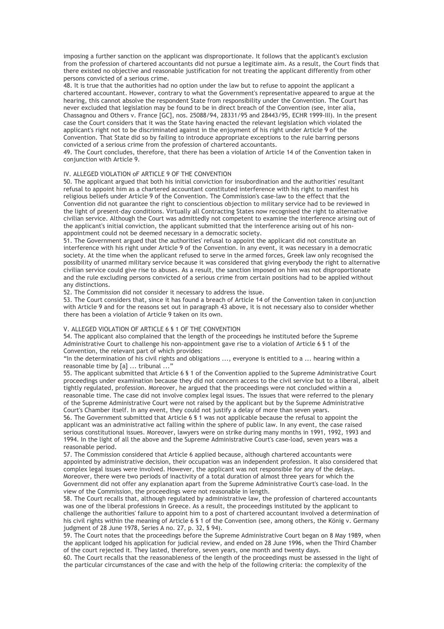imposing a further sanction on the applicant was disproportionate. It follows that the applicant's exclusion from the profession of chartered accountants did not pursue a legitimate aim. As a result, the Court finds that there existed no objective and reasonable justification for not treating the applicant differently from other persons convicted of a serious crime.

48. It is true that the authorities had no option under the law but to refuse to appoint the applicant a chartered accountant. However, contrary to what the Government's representative appeared to argue at the hearing, this cannot absolve the respondent State from responsibility under the Convention. The Court has never excluded that legislation may be found to be in direct breach of the Convention (see, inter alia, Chassagnou and Others v. France [GC], nos. 25088/94, 28331/95 and 28443/95, ECHR 1999-III). In the present case the Court considers that it was the State having enacted the relevant legislation which violated the applicant's right not to be discriminated against in the enjoyment of his right under Article 9 of the Convention. That State did so by failing to introduce appropriate exceptions to the rule barring persons convicted of a serious crime from the profession of chartered accountants.

49. The Court concludes, therefore, that there has been a violation of Article 14 of the Convention taken in conjunction with Article 9.

## IV. ALLEGED VIOLATION oF ARTICLE 9 OF THE CONVENTION

50. The applicant argued that both his initial conviction for insubordination and the authorities' resultant refusal to appoint him as a chartered accountant constituted interference with his right to manifest his religious beliefs under Article 9 of the Convention. The Commission's case-law to the effect that the Convention did not guarantee the right to conscientious objection to military service had to be reviewed in the light of present-day conditions. Virtually all Contracting States now recognised the right to alternative civilian service. Although the Court was admittedly not competent to examine the interference arising out of the applicant's initial conviction, the applicant submitted that the interference arising out of his nonappointment could not be deemed necessary in a democratic society.

51. The Government argued that the authorities' refusal to appoint the applicant did not constitute an interference with his right under Article 9 of the Convention. In any event, it was necessary in a democratic society. At the time when the applicant refused to serve in the armed forces, Greek law only recognised the possibility of unarmed military service because it was considered that giving everybody the right to alternative civilian service could give rise to abuses. As a result, the sanction imposed on him was not disproportionate and the rule excluding persons convicted of a serious crime from certain positions had to be applied without any distinctions.

52. The Commission did not consider it necessary to address the issue.

53. The Court considers that, since it has found a breach of Article 14 of the Convention taken in conjunction with Article 9 and for the reasons set out in paragraph 43 above, it is not necessary also to consider whether there has been a violation of Article 9 taken on its own.

#### V. ALLEGED VIOLATION OF ARTICLE 6 § 1 OF THE CONVENTION

54. The applicant also complained that the length of the proceedings he instituted before the Supreme Administrative Court to challenge his non-appointment gave rise to a violation of Article 6 § 1 of the Convention, the relevant part of which provides:

"In the determination of his civil rights and obligations  $\dots$ , everyone is entitled to a  $\dots$  hearing within a reasonable time by [a] ... tribunal ..."

55. The applicant submitted that Article 6 § 1 of the Convention applied to the Supreme Administrative Court proceedings under examination because they did not concern access to the civil service but to a liberal, albeit tightly regulated, profession. Moreover, he argued that the proceedings were not concluded within a reasonable time. The case did not involve complex legal issues. The issues that were referred to the plenary of the Supreme Administrative Court were not raised by the applicant but by the Supreme Administrative Court's Chamber itself. In any event, they could not justify a delay of more than seven years.

56. The Government submitted that Article 6 § 1 was not applicable because the refusal to appoint the applicant was an administrative act falling within the sphere of public law. In any event, the case raised serious constitutional issues. Moreover, lawyers were on strike during many months in 1991, 1992, 1993 and 1994. In the light of all the above and the Supreme Administrative Court's case-load, seven years was a reasonable period.

57. The Commission considered that Article 6 applied because, although chartered accountants were appointed by administrative decision, their occupation was an independent profession. It also considered that complex legal issues were involved. However, the applicant was not responsible for any of the delays. Moreover, there were two periods of inactivity of a total duration of almost three years for which the Government did not offer any explanation apart from the Supreme Administrative Court's case-load. In the view of the Commission, the proceedings were not reasonable in length.

58. The Court recalls that, although regulated by administrative law, the profession of chartered accountants was one of the liberal professions in Greece. As a result, the proceedings instituted by the applicant to challenge the authorities' failure to appoint him to a post of chartered accountant involved a determination of his civil rights within the meaning of Article 6 § 1 of the Convention (see, among others, the König v. Germany judgment of 28 June 1978, Series A no. 27, p. 32, § 94).

59. The Court notes that the proceedings before the Supreme Administrative Court began on 8 May 1989, when the applicant lodged his application for judicial review, and ended on 28 June 1996, when the Third Chamber of the court rejected it. They lasted, therefore, seven years, one month and twenty days.

60. The Court recalls that the reasonableness of the length of the proceedings must be assessed in the light of the particular circumstances of the case and with the help of the following criteria: the complexity of the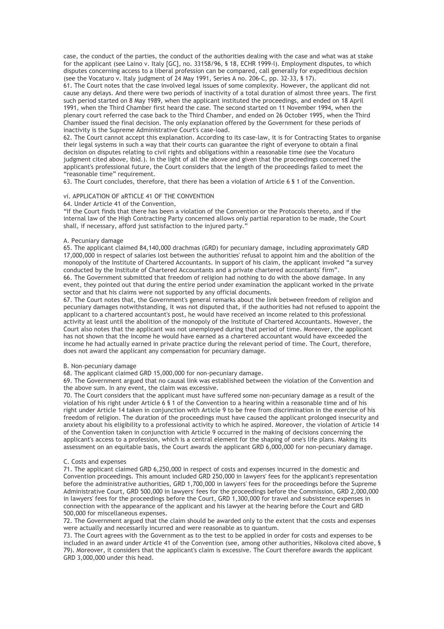case, the conduct of the parties, the conduct of the authorities dealing with the case and what was at stake for the applicant (see Laino v. Italy [GC], no. 33158/96, § 18, ECHR 1999-I). Employment disputes, to which disputes concerning access to a liberal profession can be compared, call generally for expeditious decision (see the Vocaturo v. Italy judgment of 24 May 1991, Series A no. 206-C, pp. 32-33, § 17).

61. The Court notes that the case involved legal issues of some complexity. However, the applicant did not cause any delays. And there were two periods of inactivity of a total duration of almost three years. The first such period started on 8 May 1989, when the applicant instituted the proceedings, and ended on 18 April 1991, when the Third Chamber first heard the case. The second started on 11 November 1994, when the plenary court referred the case back to the Third Chamber, and ended on 26 October 1995, when the Third Chamber issued the final decision. The only explanation offered by the Government for these periods of inactivity is the Supreme Administrative Court's case-load.

62. The Court cannot accept this explanation. According to its case-law, it is for Contracting States to organise their legal systems in such a way that their courts can guarantee the right of everyone to obtain a final decision on disputes relating to civil rights and obligations within a reasonable time (see the Vocaturo judgment cited above, ibid.). In the light of all the above and given that the proceedings concerned the applicant's professional future, the Court considers that the length of the proceedings failed to meet the "reasonable time" requirement.

63. The Court concludes, therefore, that there has been a violation of Article 6 § 1 of the Convention.

### vi. APPLICATION OF aRTICLE 41 OF THE CONVENTION

### 64. Under Article 41 of the Convention,

"If the Court finds that there has been a violation of the Convention or the Protocols thereto, and if the internal law of the High Contracting Party concerned allows only partial reparation to be made, the Court shall, if necessary, afford just satisfaction to the injured party.'

### A. Pecuniary damage

65. The applicant claimed 84,140,000 drachmas (GRD) for pecuniary damage, including approximately GRD 17,000,000 in respect of salaries lost between the authorities' refusal to appoint him and the abolition of the monopoly of the Institute of Chartered Accountants. In support of his claim, the applicant invoked "a survey conducted by the Institute of Chartered Accountants and a private chartered accountants' firm".

66. The Government submitted that freedom of religion had nothing to do with the above damage. In any event, they pointed out that during the entire period under examination the applicant worked in the private sector and that his claims were not supported by any official documents.

67. The Court notes that, the Government's general remarks about the link between freedom of religion and pecuniary damages notwithstanding, it was not disputed that, if the authorities had not refused to appoint the applicant to a chartered accountant's post, he would have received an income related to this professional activity at least until the abolition of the monopoly of the Institute of Chartered Accountants. However, the Court also notes that the applicant was not unemployed during that period of time. Moreover, the applicant has not shown that the income he would have earned as a chartered accountant would have exceeded the income he had actually earned in private practice during the relevant period of time. The Court, therefore, does not award the applicant any compensation for pecuniary damage.

#### B. Non-pecuniary damage

68. The applicant claimed GRD 15,000,000 for non-pecuniary damage.

69. The Government argued that no causal link was established between the violation of the Convention and the above sum. In any event, the claim was excessive.

70. The Court considers that the applicant must have suffered some non-pecuniary damage as a result of the violation of his right under Article 6 § 1 of the Convention to a hearing within a reasonable time and of his right under Article 14 taken in conjunction with Article 9 to be free from discrimination in the exercise of his freedom of religion. The duration of the proceedings must have caused the applicant prolonged insecurity and anxiety about his eligibility to a professional activity to which he aspired. Moreover, the violation of Article 14 of the Convention taken in conjunction with Article 9 occurred in the making of decisions concerning the applicant's access to a profession, which is a central element for the shaping of one's life plans. Making its assessment on an equitable basis, the Court awards the applicant GRD 6,000,000 for non-pecuniary damage.

### C. Costs and expenses

71. The applicant claimed GRD 6,250,000 in respect of costs and expenses incurred in the domestic and Convention proceedings. This amount included GRD 250,000 in lawyers' fees for the applicant's representation before the administrative authorities, GRD 1,700,000 in lawyers' fees for the proceedings before the Supreme Administrative Court, GRD 500,000 in lawyers' fees for the proceedings before the Commission, GRD 2,000,000 in lawyers' fees for the proceedings before the Court, GRD 1,300,000 for travel and subsistence expenses in connection with the appearance of the applicant and his lawyer at the hearing before the Court and GRD 500,000 for miscellaneous expenses.

72. The Government argued that the claim should be awarded only to the extent that the costs and expenses were actually and necessarily incurred and were reasonable as to quantum.

73. The Court agrees with the Government as to the test to be applied in order for costs and expenses to be included in an award under Article 41 of the Convention (see, among other authorities, Nikolova cited above, § 79). Moreover, it considers that the applicant's claim is excessive. The Court therefore awards the applicant GRD 3,000,000 under this head.